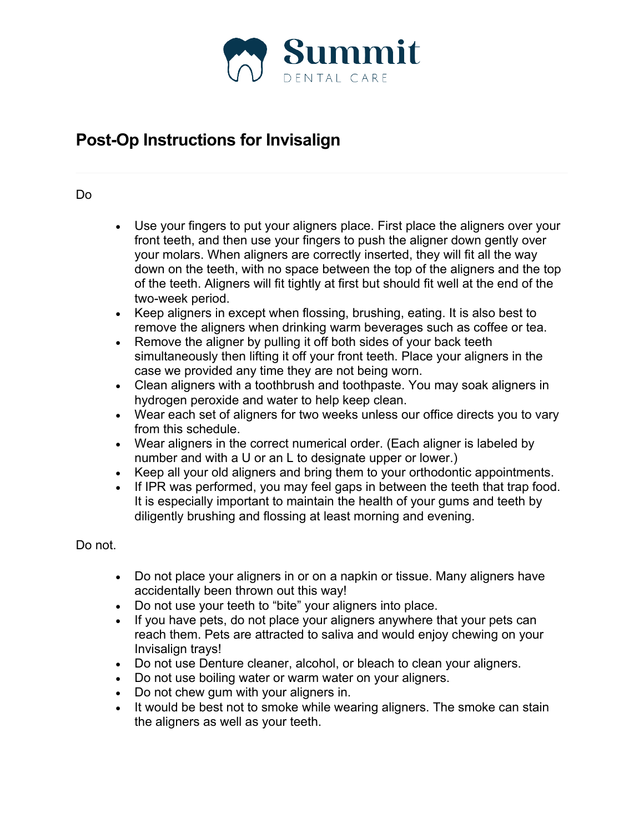

## **Post-Op Instructions for Invisalign**

## Do

- Use your fingers to put your aligners place. First place the aligners over your front teeth, and then use your fingers to push the aligner down gently over your molars. When aligners are correctly inserted, they will fit all the way down on the teeth, with no space between the top of the aligners and the top of the teeth. Aligners will fit tightly at first but should fit well at the end of the two-week period.
- Keep aligners in except when flossing, brushing, eating. It is also best to remove the aligners when drinking warm beverages such as coffee or tea.
- Remove the aligner by pulling it off both sides of your back teeth simultaneously then lifting it off your front teeth. Place your aligners in the case we provided any time they are not being worn.
- Clean aligners with a toothbrush and toothpaste. You may soak aligners in hydrogen peroxide and water to help keep clean.
- Wear each set of aligners for two weeks unless our office directs you to vary from this schedule.
- Wear aligners in the correct numerical order. (Each aligner is labeled by number and with a U or an L to designate upper or lower.)
- Keep all your old aligners and bring them to your orthodontic appointments.
- If IPR was performed, you may feel gaps in between the teeth that trap food. It is especially important to maintain the health of your gums and teeth by diligently brushing and flossing at least morning and evening.

Do not.

- Do not place your aligners in or on a napkin or tissue. Many aligners have accidentally been thrown out this way!
- Do not use your teeth to "bite" your aligners into place.
- If you have pets, do not place your aligners anywhere that your pets can reach them. Pets are attracted to saliva and would enjoy chewing on your Invisalign trays!
- Do not use Denture cleaner, alcohol, or bleach to clean your aligners.
- Do not use boiling water or warm water on your aligners.
- Do not chew gum with your aligners in.
- It would be best not to smoke while wearing aligners. The smoke can stain the aligners as well as your teeth.